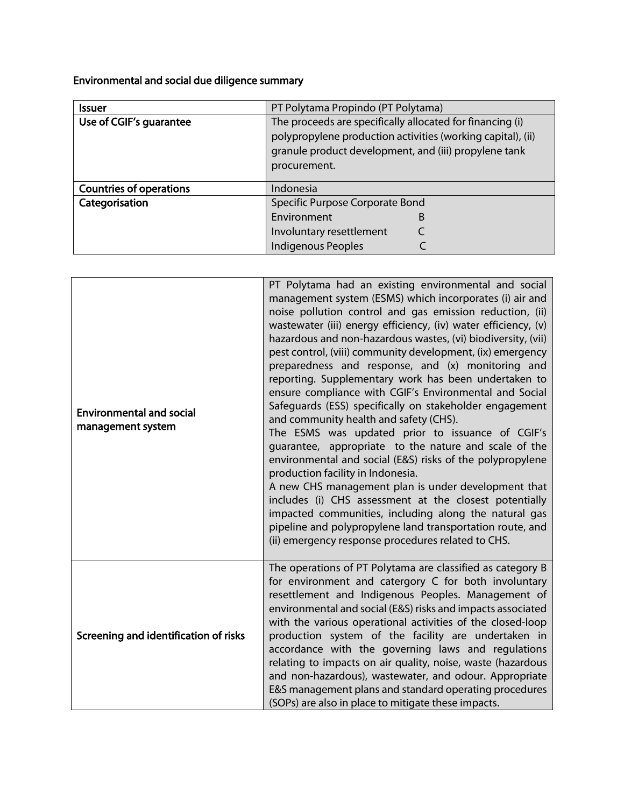Environmental and social due diligence summary

| <b>Issuer</b>                  | PT Polytama Propindo (PT Polytama)                                                                                                                                                |
|--------------------------------|-----------------------------------------------------------------------------------------------------------------------------------------------------------------------------------|
| Use of CGIF's guarantee        | The proceeds are specifically allocated for financing (i)<br>polypropylene production activities (working capital), (ii)<br>granule product development, and (iii) propylene tank |
|                                | procurement.                                                                                                                                                                      |
| <b>Countries of operations</b> | Indonesia                                                                                                                                                                         |
| Categorisation                 | Specific Purpose Corporate Bond                                                                                                                                                   |
|                                | Environment<br>B                                                                                                                                                                  |
|                                | Involuntary resettlement                                                                                                                                                          |
|                                | <b>Indigenous Peoples</b>                                                                                                                                                         |

| <b>Environmental and social</b><br>management system | PT Polytama had an existing environmental and social<br>management system (ESMS) which incorporates (i) air and<br>noise pollution control and gas emission reduction, (ii)<br>wastewater (iii) energy efficiency, (iv) water efficiency, (v)<br>hazardous and non-hazardous wastes, (vi) biodiversity, (vii)<br>pest control, (viii) community development, (ix) emergency<br>preparedness and response, and (x) monitoring and<br>reporting. Supplementary work has been undertaken to<br>ensure compliance with CGIF's Environmental and Social<br>Safeguards (ESS) specifically on stakeholder engagement<br>and community health and safety (CHS).<br>The ESMS was updated prior to issuance of CGIF's<br>quarantee, appropriate to the nature and scale of the<br>environmental and social (E&S) risks of the polypropylene<br>production facility in Indonesia.<br>A new CHS management plan is under development that<br>includes (i) CHS assessment at the closest potentially<br>impacted communities, including along the natural gas<br>pipeline and polypropylene land transportation route, and<br>(ii) emergency response procedures related to CHS. |
|------------------------------------------------------|---------------------------------------------------------------------------------------------------------------------------------------------------------------------------------------------------------------------------------------------------------------------------------------------------------------------------------------------------------------------------------------------------------------------------------------------------------------------------------------------------------------------------------------------------------------------------------------------------------------------------------------------------------------------------------------------------------------------------------------------------------------------------------------------------------------------------------------------------------------------------------------------------------------------------------------------------------------------------------------------------------------------------------------------------------------------------------------------------------------------------------------------------------------------|
| Screening and identification of risks                | The operations of PT Polytama are classified as category B<br>for environment and catergory C for both involuntary<br>resettlement and Indigenous Peoples. Management of<br>environmental and social (E&S) risks and impacts associated<br>with the various operational activities of the closed-loop<br>production system of the facility are undertaken in<br>accordance with the governing laws and regulations<br>relating to impacts on air quality, noise, waste (hazardous<br>and non-hazardous), wastewater, and odour. Appropriate<br>E&S management plans and standard operating procedures<br>(SOPs) are also in place to mitigate these impacts.                                                                                                                                                                                                                                                                                                                                                                                                                                                                                                        |